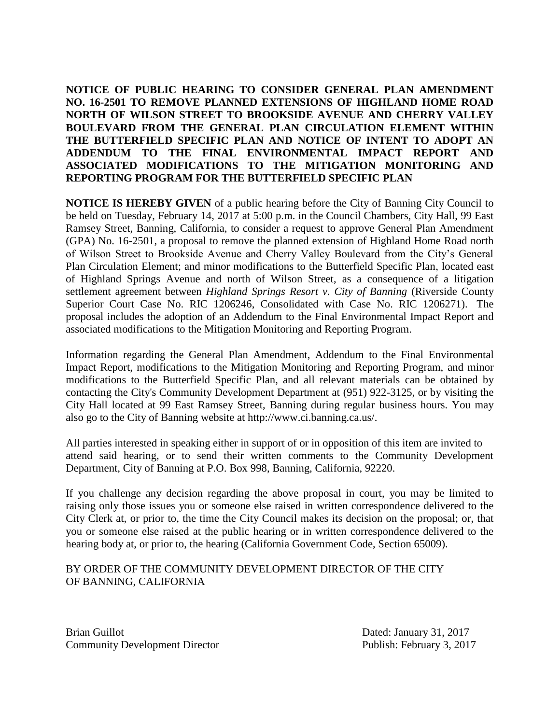**NOTICE OF PUBLIC HEARING TO CONSIDER GENERAL PLAN AMENDMENT NO. 16-2501 TO REMOVE PLANNED EXTENSIONS OF HIGHLAND HOME ROAD NORTH OF WILSON STREET TO BROOKSIDE AVENUE AND CHERRY VALLEY BOULEVARD FROM THE GENERAL PLAN CIRCULATION ELEMENT WITHIN THE BUTTERFIELD SPECIFIC PLAN AND NOTICE OF INTENT TO ADOPT AN ADDENDUM TO THE FINAL ENVIRONMENTAL IMPACT REPORT AND ASSOCIATED MODIFICATIONS TO THE MITIGATION MONITORING AND REPORTING PROGRAM FOR THE BUTTERFIELD SPECIFIC PLAN** 

**NOTICE IS HEREBY GIVEN** of a public hearing before the City of Banning City Council to be held on Tuesday, February 14, 2017 at 5:00 p.m. in the Council Chambers, City Hall, 99 East Ramsey Street, Banning, California, to consider a request to approve General Plan Amendment (GPA) No. 16-2501, a proposal to remove the planned extension of Highland Home Road north of Wilson Street to Brookside Avenue and Cherry Valley Boulevard from the City's General Plan Circulation Element; and minor modifications to the Butterfield Specific Plan, located east of Highland Springs Avenue and north of Wilson Street, as a consequence of a litigation settlement agreement between *Highland Springs Resort v. City of Banning* (Riverside County Superior Court Case No. RIC 1206246, Consolidated with Case No. RIC 1206271). The proposal includes the adoption of an Addendum to the Final Environmental Impact Report and associated modifications to the Mitigation Monitoring and Reporting Program.

Information regarding the General Plan Amendment, Addendum to the Final Environmental Impact Report, modifications to the Mitigation Monitoring and Reporting Program, and minor modifications to the Butterfield Specific Plan, and all relevant materials can be obtained by contacting the City's Community Development Department at (951) 922-3125, or by visiting the City Hall located at 99 East Ramsey Street, Banning during regular business hours. You may also go to the City of Banning website at http://www.ci.banning.ca.us/.

All parties interested in speaking either in support of or in opposition of this item are invited to attend said hearing, or to send their written comments to the Community Development Department, City of Banning at P.O. Box 998, Banning, California, 92220.

If you challenge any decision regarding the above proposal in court, you may be limited to raising only those issues you or someone else raised in written correspondence delivered to the City Clerk at, or prior to, the time the City Council makes its decision on the proposal; or, that you or someone else raised at the public hearing or in written correspondence delivered to the hearing body at, or prior to, the hearing (California Government Code, Section 65009).

## BY ORDER OF THE COMMUNITY DEVELOPMENT DIRECTOR OF THE CITY OF BANNING, CALIFORNIA

Brian Guillot **Dated:** January 31, 2017 Community Development Director Publish: February 3, 2017